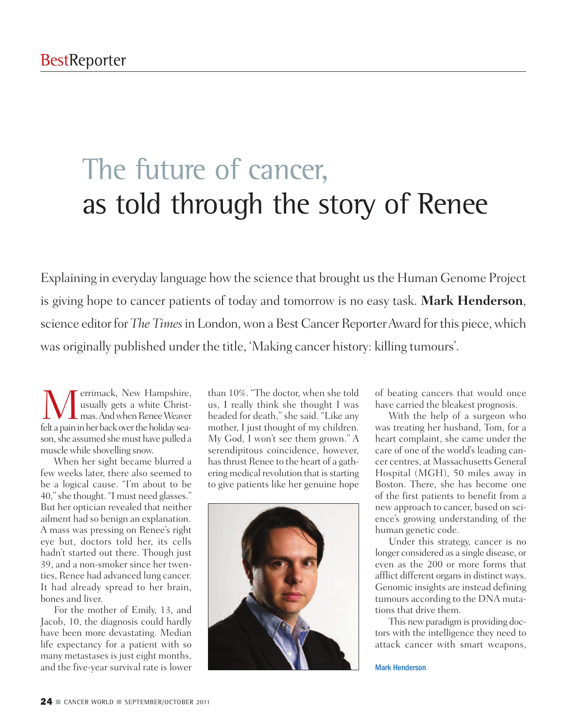# The future of cancer, as told through the story of Renee

Explaining in everyday language how the science that brought us the Human Genome Project is giving hope to cancer patients of today and tomorrow is no easy task. **Mark Henderson**, science editor for *The Times* in London, won a Best Cancer Reporter Award for this piece, which was originally published under the title, 'Making cancer history: killing tumours'.

**M**errimack, New Hampshire,<br>
usually gets a white Christ-<br>
felt a pain in her back over the holiday seausually gets a white Christfelt a pain in her back over the holiday season, she assumed she must have pulled a musclewhile shovelling snow.

When her sight became blurred a few weeks later, there also seemed to be a logical cause. "I'm about to be 40,"she thought. "I must need glasses." But her optician revealed that neither ailment had so benign an explanation. A mass was pressing on Renee's right eye but, doctors told her, its cells hadn't started out there. Though just 39, and a non-smoker since her twenties, Renee had advanced lung cancer. It had already spread to her brain, bones and liver.

For the mother of Emily, 13, and Jacob, 10, the diagnosis could hardly have been more devastating. Median life expectancy for a patient with so many metastases is just eight months, and the five-year survival rate is lower

than 10%. "The doctor, when she told us, I really think she thought I was headed for death," she said. "Like any mother, I just thought of my children. My God, I won't see them grown." A serendipitous coincidence, however, hasthrust Renee to the heart of a gathering medical revolution that is starting to give patients like her genuine hope



of beating cancers that would once have carried the bleakest prognosis.

With the help of a surgeon who was treating her husband, Tom, for a heart complaint, she came under the care of one of the world's leading cancer centres, at Massachusetts General Hospital (MGH), 50 miles away in Boston. There, she has become one of the first patients to benefit from a new approach to cancer, based on science's growing understanding of the human genetic code.

Under this strategy, cancer is no longer considered as a single disease, or even as the 200 or more forms that afflict different organs in distinct ways. Genomic insights are instead defining tumours according to the DNA mutations that drive them.

This newparadigm is providing doctors with the intelligence they need to attack cancer with smart weapons,

Mark Henderson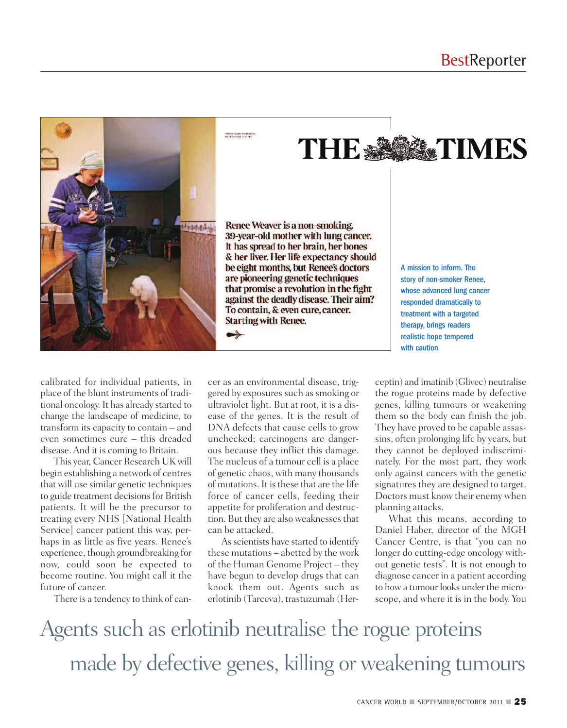

withs walk inviting

**THE ASSESSMENTIMES** 

Renee Weaver is a non-smoking. 39-year-old mother with lung cancer. It has spread to her brain, her bones & her liver. Her life expectancy should be eight months, but Renee's doctors are pioneering genetic techniques that promise a revolution in the fight against the deadly disease. Their aim? To contain, & even cure, cancer. **Starting with Renee.** 

A mission to inform. The story of non-smoker Renee, whose advanced lung cancer responded dramatically to treatment with a targeted therapy, brings readers realistic hope tempered with caution

calibrated for individual patients, in place of the blunt instruments of traditional oncology.It has already started to change the landscape of medicine, to transform its capacity to contain – and even sometimes cure – this dreaded disease.And it is coming to Britain.

This year, Cancer Research UK will begin establishing a network of centres that will use similar genetic techniques to guide treatment decisions for British patients. It will be the precursor to treating every NHS [National Health Service] cancer patient this way, perhaps in as little as five years. Renee's experience, though groundbreaking for now, could soon be expected to become routine. You might call it the future of cancer.

There is a tendency to think of can-

cer as an environmental disease, triggered by exposures such as smoking or ultraviolet light. But at root, it is a disease of the genes. It is the result of DNA defects that cause cells to grow unchecked; carcinogens are dangerous because they inflict this damage. The nucleus of a tumour cell is a place of genetic chaos, with many thousands of mutations. It is these that are the life force of cancer cells, feeding their appetite for proliferation and destruction. But they are also weaknesses that can be attacked.

As scientists have started to identify these mutations – abetted by the work of the Human Genome Project – they have begun to develop drugs that can knock them out. Agents such as erlotinib (Tarceva), trastuzumab (Herceptin) and imatinib (Glivec) neutralise the rogue proteins made by defective genes, killing tumours or weakening them so the body can finish the job. They have proved to be capable assassins, often prolonging life by years, but they cannot be deployed indiscriminately. For the most part, they work only against cancers with the genetic signatures they are designed to target. Doctors must know their enemy when planning attacks.

What this means, according to Daniel Haber, director of the MGH Cancer Centre, is that "you can no longer do cutting-edge oncology without genetic tests". It is not enough to diagnose cancer in a patient according to how a tumour looks under the microscope, and where it is in the body. You

Agents such as erlotinib neutralise the rogue proteins made by defective genes, killing or weakening tumours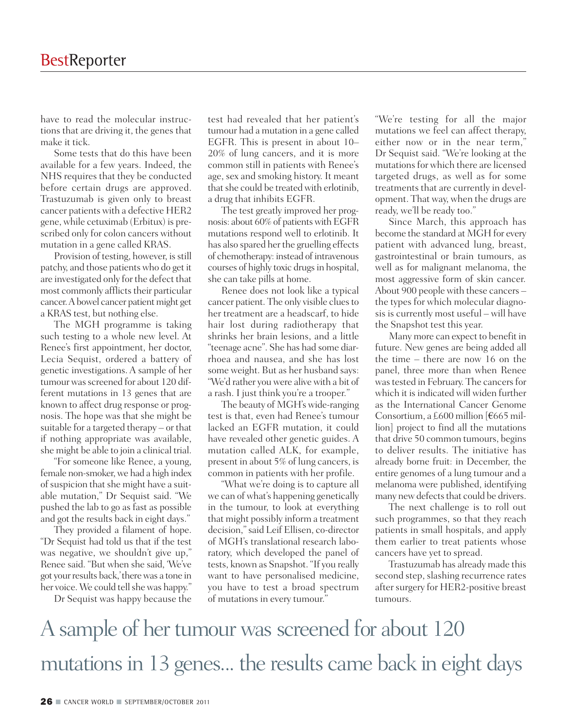have to read the molecular instructions that are driving it, the genes that make it tick.

Some tests that do this have been available for a few years. Indeed, the NHS requires that they be conducted before certain drugs are approved. Trastuzumab is given only to breast cancer patients with a defective HER2 gene, while cetuximab (Erbitux) is prescribed only for colon cancers without mutation in a gene called KRAS.

Provision of testing, however, is still patchy, and those patientswho do get it are investigated only for the defect that most commonly afflicts their particular cancer. A bowel cancer patient might get a KRAS test, but nothing else.

The MGH programme is taking such testing to a whole new level. At Renee's first appointment, her doctor, Lecia Sequist, ordered a battery of genetic investigations. A sample of her tumour was screened for about 120 different mutations in 13 genes that are known to affect drug response or prognosis. The hope was that she might be suitable for a targeted therapy – or that if nothing appropriate was available, she might be able to join a clinical trial.

"For someone like Renee, a young, female non-smoker, we had a high index of suspicion that she might have a suitable mutation," Dr Sequist said. "We pushed the lab to go as fast as possible and got the results back in eight days."

They provided a filament of hope. "Dr Sequist had told us that if the test was negative, we shouldn't give up," Renee said. "But when she said, 'We've got yourresults back,'therewas a tone in her voice. We could tell she was happy."

Dr Sequist was happy because the

test had revealed that her patient's tumour had a mutation in a gene called EGFR. This is present in about 10– 20% of lung cancers, and it is more common still in patients with Renee's age, sex and smoking history. It meant that she could be treated with erlotinib, a drug that inhibits EGFR.

The test greatly improved her prognosis: about 60% of patients with EGFR mutations respond well to erlotinib. It has also spared her the gruelling effects of chemotherapy: instead of intravenous courses of highly toxic drugs in hospital, she can take pills at home.

Renee does not look like a typical cancer patient. The only visible cluesto her treatment are a headscarf, to hide hair lost during radiotherapy that shrinks her brain lesions, and a little "teenage acne". She has had some diarrhoea and nausea, and she has lost some weight. But as her husband says: "We'd rather you were alive with a bit of a rash. I just think you're a trooper."

The beauty of MGH's wide-ranging test is that, even had Renee's tumour lacked an EGFR mutation, it could have revealed other genetic guides. A mutation called ALK, for example, present in about 5% of lung cancers, is common in patients with her profile.

"What we're doing is to capture all we can of what's happening genetically in the tumour, to look at everything that might possibly inform a treatment decision,"said Leif Ellisen, co-director of MGH's translational research laboratory, which developed the panel of tests, known as Snapshot. "If you really want to have personalised medicine, you have to test a broad spectrum of mutations in every tumour."

"We're testing for all the major mutations we feel can affect therapy, either now or in the near term," Dr Sequist said. "We're looking at the mutations for which there are licensed targeted drugs, as well as for some treatments that are currently in development. That way, when the drugs are ready, we'll be ready too."

Since March, this approach has become the standard at MGH for every patient with advanced lung, breast, gastrointestinal or brain tumours, as well as for malignant melanoma, the most aggressive form of skin cancer. About 900 people with these cancers – the types for which molecular diagnosis is currently most useful – will have the Snapshot test this year.

Many more can expect to benefit in future. New genes are being added all the time – there are now 16 on the panel, three more than when Renee was tested in February. The cancers for which it is indicated will widen further as the International Cancer Genome Consortium, a £600 million  $[€665$  million] project to find all the mutations that drive 50 common tumours, begins to deliver results. The initiative has already borne fruit: in December, the entire genomes of a lung tumour and a melanoma were published, identifying many new defects that could be drivers.

The next challenge is to roll out such programmes, so that they reach patients in small hospitals, and apply them earlier to treat patients whose cancers have yet to spread.

Trastuzumab has already made this second step, slashing recurrence rates after surgery for HER2-positive breast tumours.

A sample of her tumour was screened for about 120 mutations in 13 genes... the results came back in eight days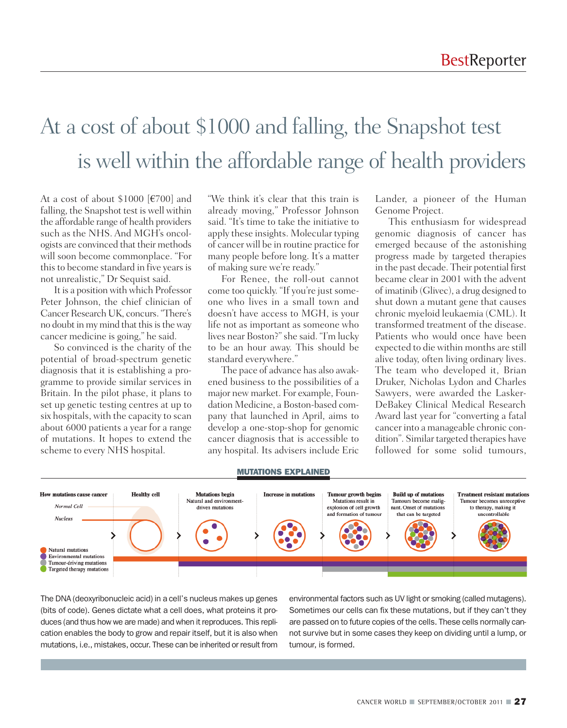### At a cost of about \$1000 and falling, the Snapshot test is well within the affordable range of health providers

At a cost of about \$1000 [€700] and falling, the Snapshot test is well within the affordable range of health providers such as the NHS. And MGH's oncologists are convinced that their methods will soon become commonplace. "For this to become standard in five years is not unrealistic," Dr Sequist said.

It is a position with which Professor Peter Johnson, the chief clinician of Cancer Research UK, concurs. "There's no doubt in my mind that this is the way cancer medicine is going," he said.

So convinced is the charity of the potential of broad-spectrum genetic diagnosis that it is establishing a programme to provide similar services in Britain. In the pilot phase, it plans to set up genetic testing centres at up to six hospitals, with the capacity to scan about 6000 patients a year for a range of mutations. It hopes to extend the scheme to every NHS hospital.

"We think it's clear that this train is already moving," Professor Johnson said. "It's time to take the initiative to apply these insights. Molecular typing of cancer will be in routine practice for many people before long. It's a matter of making sure we're ready."

For Renee, the roll-out cannot come too quickly. "If you're just someone who lives in a small town and doesn't have access to MGH, is your life not as important as someone who lives near Boston?"she said. "I'm lucky to be an hour away. This should be standard everywhere."

The pace of advance has also awakened business to the possibilities of a major new market. For example, Foundation Medicine, a Boston-based company that launched in April, aims to develop a one-stop-shop for genomic cancer diagnosis that is accessible to any hospital. Its advisers include Eric Lander, a pioneer of the Human Genome Project.

This enthusiasm for widespread genomic diagnosis of cancer has emerged because of the astonishing progress made by targeted therapies in the past decade. Their potential first became clear in 2001 with the advent of imatinib (Glivec), a drug designed to shut down a mutant gene that causes chronic myeloid leukaemia (CML). It transformed treatment of the disease. Patients who would once have been expected to die within months are still alive today, often living ordinary lives. The team who developed it, Brian Druker, Nicholas Lydon and Charles Sawyers, were awarded the Lasker-DeBakey Clinical Medical Research Award last year for "converting a fatal cancer into a manageable chronic condition". Similar targeted therapies have followed for some solid tumours,



#### **MUTATIONS EXPLAINED**

The DNA (deoxyribonucleic acid) in a cell's nucleus makes up genes (bits of code). Genes dictate what a cell does, what proteins it produces (and thus how we are made) and when it reproduces. This replication enables the body to grow and repair itself, but it is also when mutations, i.e., mistakes, occur. These can be inherited or result from

environmental factors such as UV light or smoking (called mutagens). Sometimes our cells can fix these mutations, but if they can't they are passed on to future copies of the cells. These cells normally cannot survive but in some cases they keep on dividing until a lump, or tumour, is formed.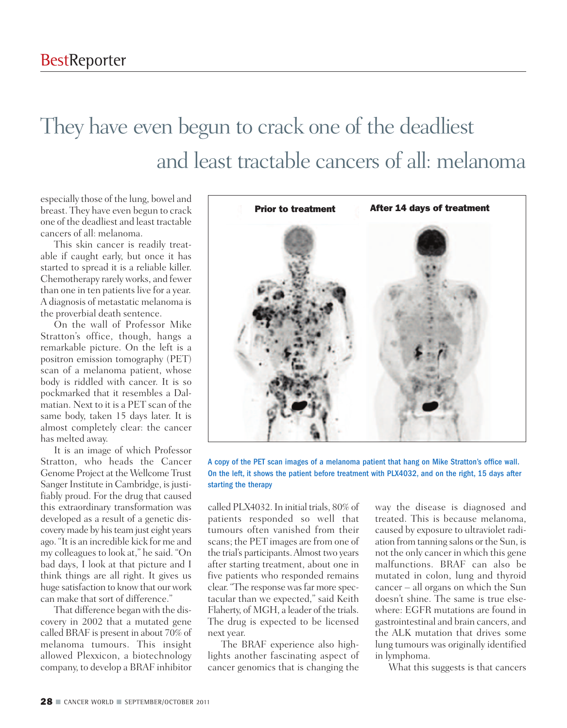## They have even begun to crack one of the deadliest and least tractable cancers of all: melanoma

especially those of the lung, bowel and breast. They have even begun to crack one of the deadliest and least tractable cancers of all: melanoma.

This skin cancer is readily treatable if caught early, but once it has started to spread it is a reliable killer. Chemotherapy rarely works, and fewer than one in ten patients live for a year. A diagnosis of metastatic melanoma is the proverbial death sentence.

On the wall of Professor Mike Stratton's office, though, hangs a remarkable picture. On the left is a positron emission tomography (PET) scan of a melanoma patient, whose body is riddled with cancer. It is so pockmarked that it resembles a Dalmatian. Next to it is a PET scan of the same body, taken 15 days later. It is almost completely clear: the cancer has melted away.

It is an image of which Professor Stratton, who heads the Cancer Genome Project at the Wellcome Trust Sanger Institute in Cambridge, is justifiably proud. For the drug that caused this extraordinary transformation was developed as a result of a genetic discovery made by his team just eight years ago. "It is an incredible kick for me and my colleagues to look at," he said. "On bad days, I look at that picture and I think things are all right. It gives us huge satisfaction to know that our work can make that sort of difference."

That difference began with the discovery in 2002 that a mutated gene called BRAF is present in about 70% of melanoma tumours. This insight allowed Plexxicon, a biotechnology company, to develop a BRAF inhibitor



A copy of the PET scan images of a melanoma patient that hang on Mike Stratton's office wall. On the left, it shows the patient before treatment with PLX4032, and on the right, 15 days after starting the therapy

called PLX4032.In initial trials, 80% of patients responded so well that tumours often vanished from their scans; the PET images are from one of the trial's participants.Almost two years after starting treatment, about one in five patients who responded remains clear. "The response was far more spectacular than we expected," said Keith Flaherty, of MGH, a leader of the trials. The drug is expected to be licensed next year.

The BRAF experience also highlights another fascinating aspect of cancer genomics that is changing the

way the disease is diagnosed and treated. This is because melanoma, caused by exposure to ultraviolet radiation from tanning salons or the Sun, is not the only cancer in which this gene malfunctions. BRAF can also be mutated in colon, lung and thyroid cancer – all organs on which the Sun doesn't shine. The same is true elsewhere: EGFR mutations are found in gastrointestinal and brain cancers, and the ALK mutation that drives some lung tumours was originally identified in lymphoma.

What this suggests is that cancers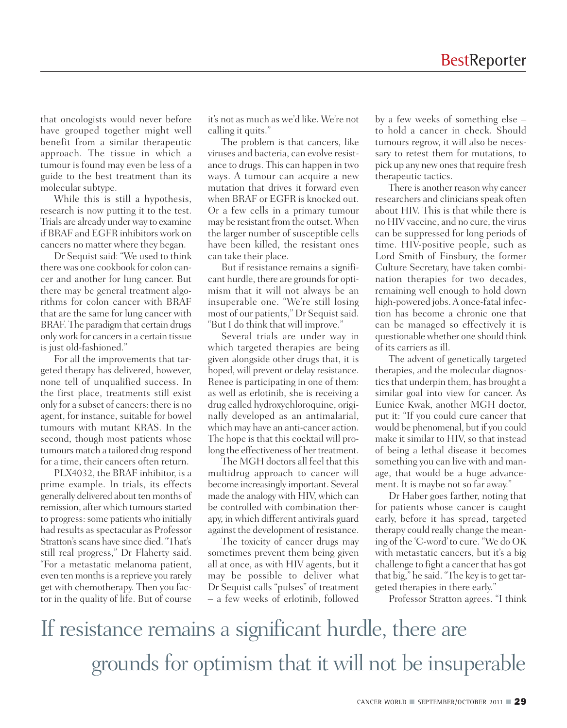that oncologists would never before have grouped together might well benefit from a similar therapeutic approach. The tissue in which a tumour is found may even be less of a guide to the best treatment than its molecular subtype.

While this is still a hypothesis, research is now putting it to the test. Trials are already under way to examine if BRAF and EGFR inhibitors work on cancers no matter where they began.

Dr Sequist said: "We used to think there was one cookbook for colon cancer and another for lung cancer. But there may be general treatment algorithms for colon cancer with BRAF that are the same for lung cancer with BRAF. The paradigm that certain drugs only work for cancersin a certain tissue is just old-fashioned."

For all the improvements that targeted therapy has delivered, however, none tell of unqualified success. In the first place, treatments still exist only for a subset of cancers: there is no agent, for instance, suitable for bowel tumours with mutant KRAS. In the second, though most patients whose tumours match a tailored drug respond for a time, their cancers often return.

PLX4032, the BRAF inhibitor, is a prime example. In trials, its effects generally delivered about ten months of remission, after which tumours started to progress: some patients who initially had results as spectacular as Professor Stratton's scans have since died. "That's still real progress," Dr Flaherty said. "For a metastatic melanoma patient, even ten months is a reprieve you rarely get with chemotherapy. Then you factor in the quality of life. But of course

it's not as much as we'd like. We're not calling it quits."

The problem is that cancers, like viruses and bacteria, can evolve resistance to drugs. This can happen in two ways. A tumour can acquire a new mutation that drives it forward even when BRAF or EGFR is knocked out. Or a few cells in a primary tumour may be resistant from the outset. When the larger number of susceptible cells have been killed, the resistant ones can take their place.

But if resistance remains a significant hurdle, there are grounds for optimism that it will not always be an insuperable one. "We're still losing most of our patients," Dr Sequist said. "But I do think that will improve."

Several trials are under way in which targeted therapies are being given alongside other drugs that, it is hoped, will prevent or delay resistance. Renee is participating in one of them: as well as erlotinib, she is receiving a drug called hydroxychloroquine, originally developed as an antimalarial, which may have an anti-cancer action. The hope is that this cocktail will prolong the effectiveness of her treatment.

The MGH doctors all feel that this multidrug approach to cancer will become increasingly important. Several made the analogy with HIV, which can be controlled with combination therapy, in which different antivirals guard against the development of resistance.

The toxicity of cancer drugs may sometimes prevent them being given all at once, as with HIV agents, but it may be possible to deliver what Dr Sequist calls "pulses" of treatment – a few weeks of erlotinib, followed

by a few weeks of something else – to hold a cancer in check. Should tumours regrow, it will also be necessary to retest them for mutations, to pick up any new ones that require fresh therapeutic tactics.

There is another reason why cancer researchers and clinicians speak often about HIV. This is that while there is no HIV vaccine, and no cure, the virus can be suppressed for long periods of time. HIV-positive people, such as Lord Smith of Finsbury, the former Culture Secretary, have taken combination therapies for two decades, remaining well enough to hold down high-powered jobs.A once-fatal infection has become a chronic one that can be managed so effectively it is questionable whether one should think of its carriers as ill.

The advent of genetically targeted therapies, and the molecular diagnostics that underpin them, has brought a similar goal into view for cancer. As Eunice Kwak, another MGH doctor, put it: "If you could cure cancer that would be phenomenal, but if you could make it similar to HIV, so that instead of being a lethal disease it becomes something you can live with and manage, that would be a huge advancement. It is maybe not so far away."

Dr Haber goes farther, noting that for patients whose cancer is caught early, before it has spread, targeted therapy could really change the meaning of the 'C-word'to cure. "We do OK with metastatic cancers, but it's a big challenge to fight a cancer that has got that big," he said. "The key is to get targeted therapies in there early."

Professor Stratton agrees. "I think

If resistance remains a significant hurdle, there are grounds for optimism that it will not be insuperable